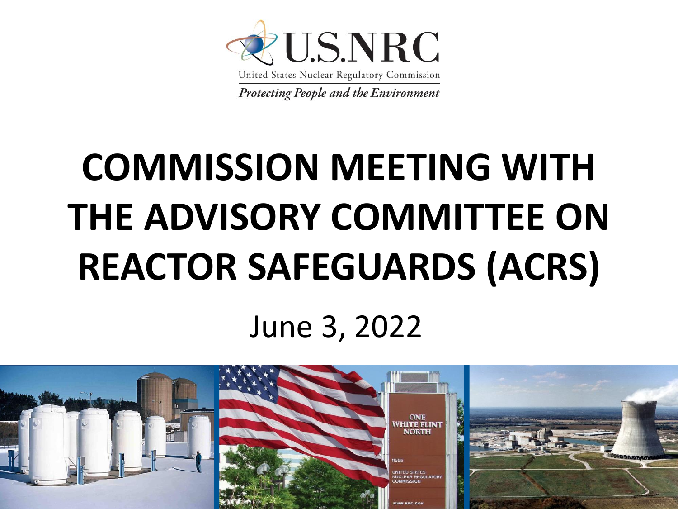

# **COMMISSION MEETING WITH THE ADVISORY COMMITTEE ON REACTOR SAFEGUARDS (ACRS)**

#### June 3, 2022

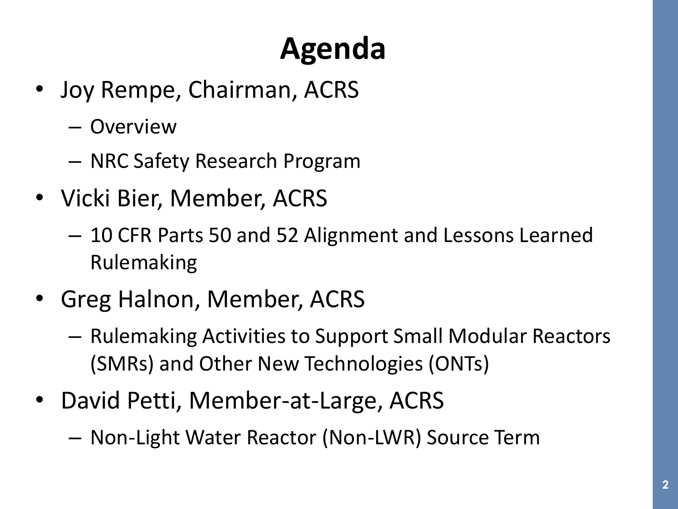## **Agenda**

- Joy Rempe, Chairman, ACRS
	- Overview
	- NRC Safety Research Program
- Vicki Bier, Member, ACRS
	- 10 CFR Parts 50 and 52 Alignment and Lessons Learned Rulemaking
- Greg Halnon, Member, ACRS
	- Rulemaking Activities to Support Small Modular Reactors (SMRs) and Other New Technologies (ONTs)
- David Petti, Member-at-Large, ACRS
	- Non-Light Water Reactor (Non-LWR) Source Term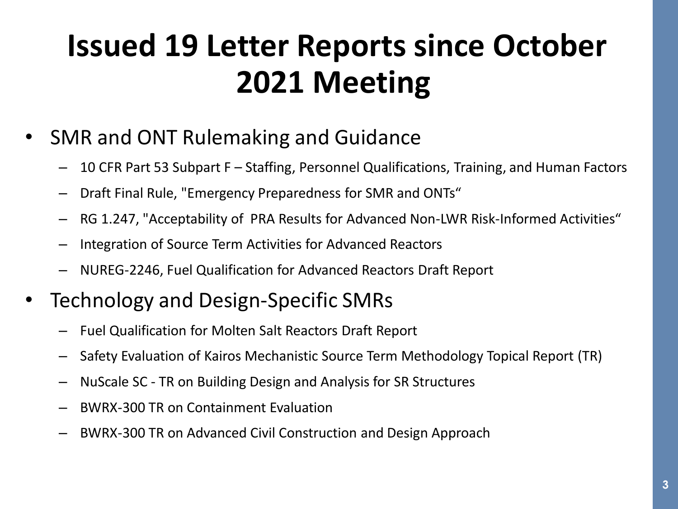#### **Issued 19 Letter Reports since October 2021 Meeting**

- SMR and ONT Rulemaking and Guidance
	- 10 CFR Part 53 Subpart F Staffing, Personnel Qualifications, Training, and Human Factors
	- Draft Final Rule, "Emergency Preparedness for SMR and ONTs"
	- RG 1.247, "Acceptability of PRA Results for Advanced Non-LWR Risk-Informed Activities"
	- Integration of Source Term Activities for Advanced Reactors
	- NUREG-2246, Fuel Qualification for Advanced Reactors Draft Report
- Technology and Design-Specific SMRs
	- Fuel Qualification for Molten Salt Reactors Draft Report
	- Safety Evaluation of Kairos Mechanistic Source Term Methodology Topical Report (TR)
	- NuScale SC TR on Building Design and Analysis for SR Structures
	- BWRX-300 TR on Containment Evaluation
	- BWRX-300 TR on Advanced Civil Construction and Design Approach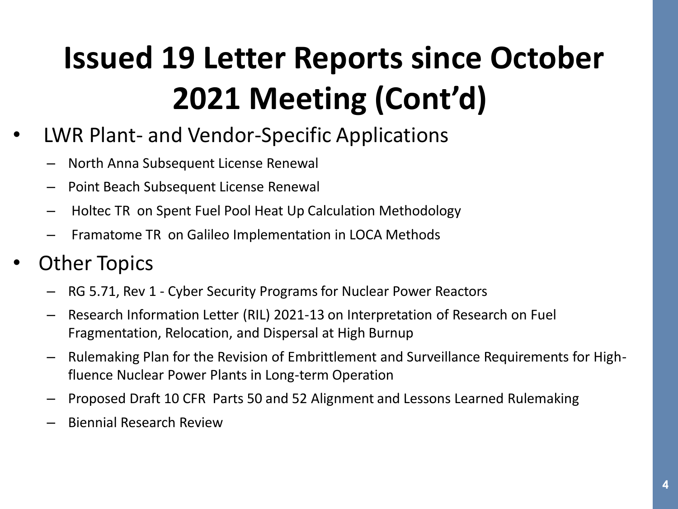### **Issued 19 Letter Reports since October 2021 Meeting (Cont'd)**

- LWR Plant- and Vendor-Specific Applications
	- North Anna Subsequent License Renewal
	- Point Beach Subsequent License Renewal
	- Holtec TR on Spent Fuel Pool Heat Up Calculation Methodology
	- Framatome TR on Galileo Implementation in LOCA Methods

#### **Other Topics**

- RG 5.71, Rev 1 Cyber Security Programs for Nuclear Power Reactors
- Research Information Letter (RIL) 2021-13 on Interpretation of Research on Fuel Fragmentation, Relocation, and Dispersal at High Burnup
- Rulemaking Plan for the Revision of Embrittlement and Surveillance Requirements for Highfluence Nuclear Power Plants in Long-term Operation
- Proposed Draft 10 CFR Parts 50 and 52 Alignment and Lessons Learned Rulemaking
- Biennial Research Review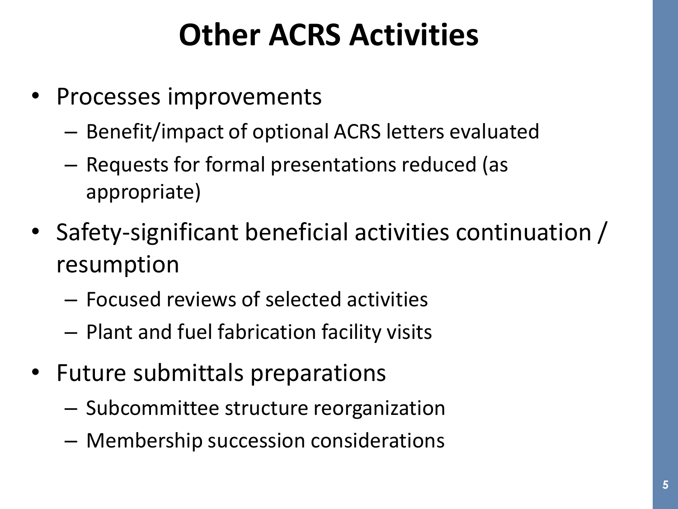#### **Other ACRS Activities**

- Processes improvements
	- Benefit/impact of optional ACRS letters evaluated
	- Requests for formal presentations reduced (as appropriate)
- Safety-significant beneficial activities continuation / resumption
	- Focused reviews of selected activities
	- Plant and fuel fabrication facility visits
- Future submittals preparations
	- Subcommittee structure reorganization
	- Membership succession considerations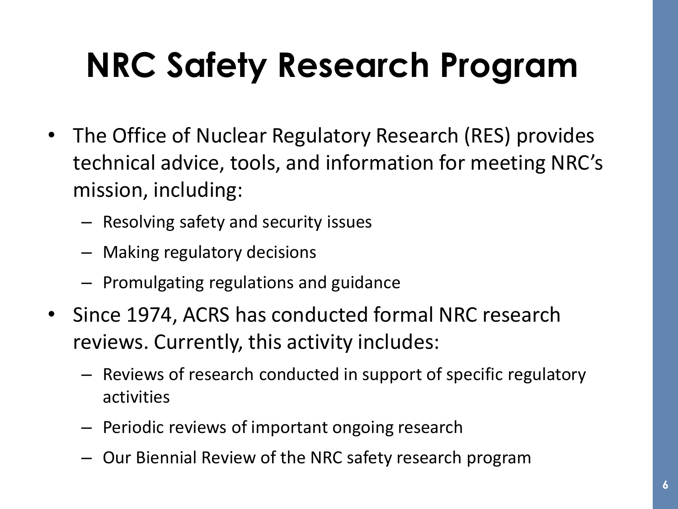## **NRC Safety Research Program**

- The Office of Nuclear Regulatory Research (RES) provides technical advice, tools, and information for meeting NRC's mission, including:
	- Resolving safety and security issues
	- Making regulatory decisions
	- Promulgating regulations and guidance
- Since 1974, ACRS has conducted formal NRC research reviews. Currently, this activity includes:
	- Reviews of research conducted in support of specific regulatory activities
	- Periodic reviews of important ongoing research
	- Our Biennial Review of the NRC safety research program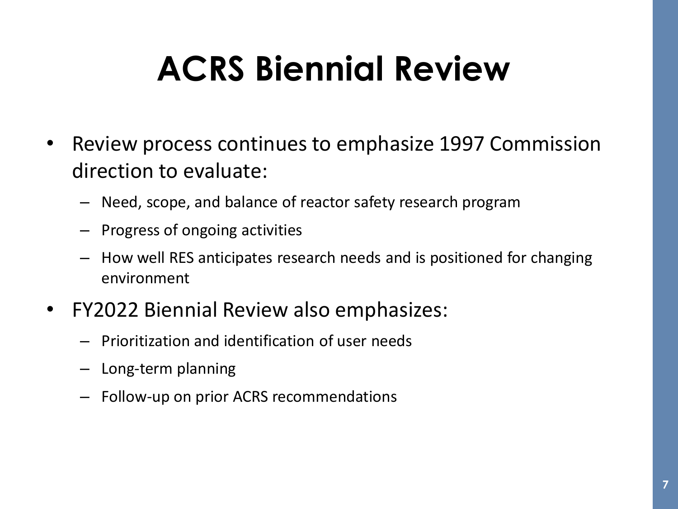## **ACRS Biennial Review**

- Review process continues to emphasize 1997 Commission direction to evaluate:
	- Need, scope, and balance of reactor safety research program
	- Progress of ongoing activities
	- How well RES anticipates research needs and is positioned for changing environment
- FY2022 Biennial Review also emphasizes:
	- Prioritization and identification of user needs
	- Long-term planning
	- Follow-up on prior ACRS recommendations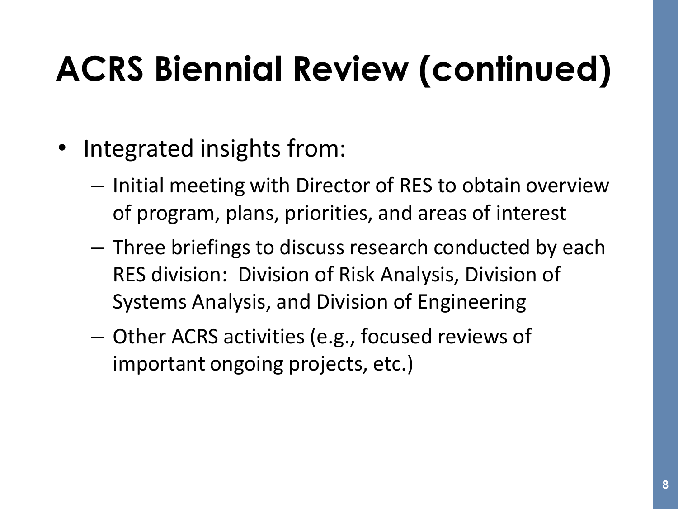## **ACRS Biennial Review (continued)**

- Integrated insights from:
	- Initial meeting with Director of RES to obtain overview of program, plans, priorities, and areas of interest
	- Three briefings to discuss research conducted by each RES division: Division of Risk Analysis, Division of Systems Analysis, and Division of Engineering
	- Other ACRS activities (e.g., focused reviews of important ongoing projects, etc.)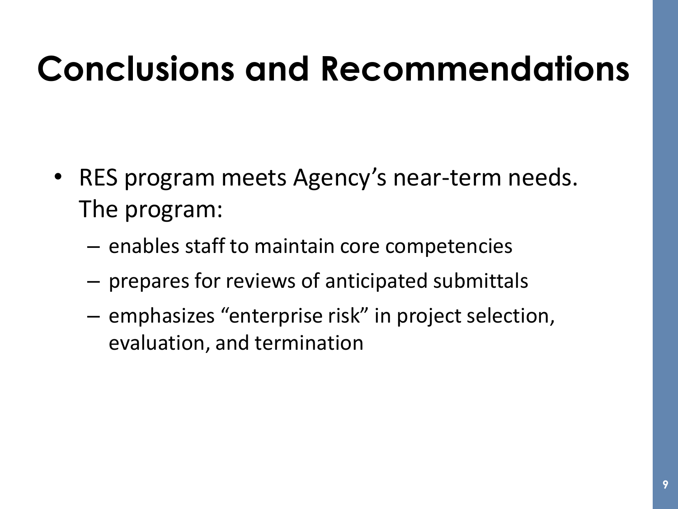## **Conclusions and Recommendations**

- RES program meets Agency's near-term needs. The program:
	- enables staff to maintain core competencies
	- prepares for reviews of anticipated submittals
	- emphasizes "enterprise risk" in project selection, evaluation, and termination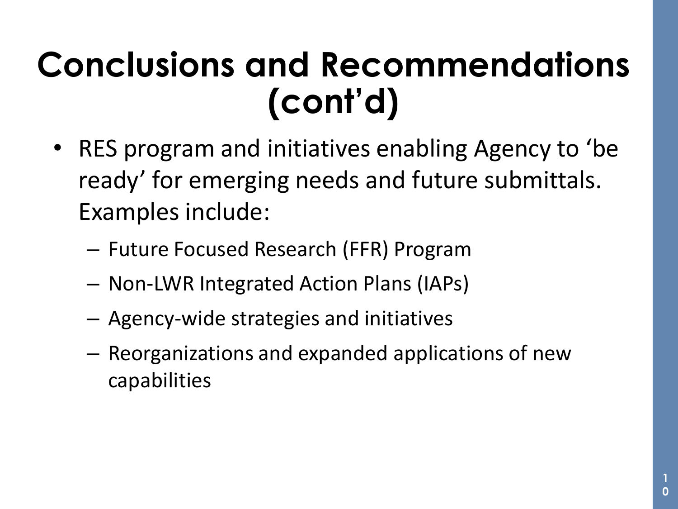## **Conclusions and Recommendations (cont'd)**

- RES program and initiatives enabling Agency to 'be ready' for emerging needs and future submittals. Examples include:
	- Future Focused Research (FFR) Program
	- Non-LWR Integrated Action Plans (IAPs)
	- Agency-wide strategies and initiatives
	- Reorganizations and expanded applications of new capabilities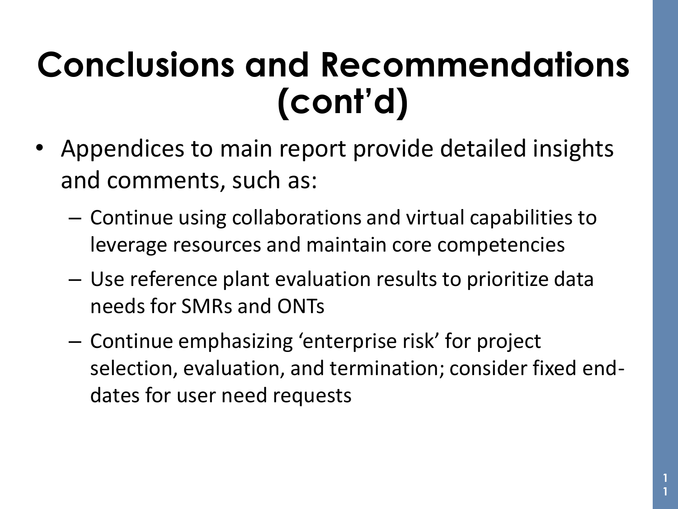## **Conclusions and Recommendations (cont'd)**

- Appendices to main report provide detailed insights and comments, such as:
	- Continue using collaborations and virtual capabilities to leverage resources and maintain core competencies
	- Use reference plant evaluation results to prioritize data needs for SMRs and ONTs
	- Continue emphasizing 'enterprise risk' for project selection, evaluation, and termination; consider fixed enddates for user need requests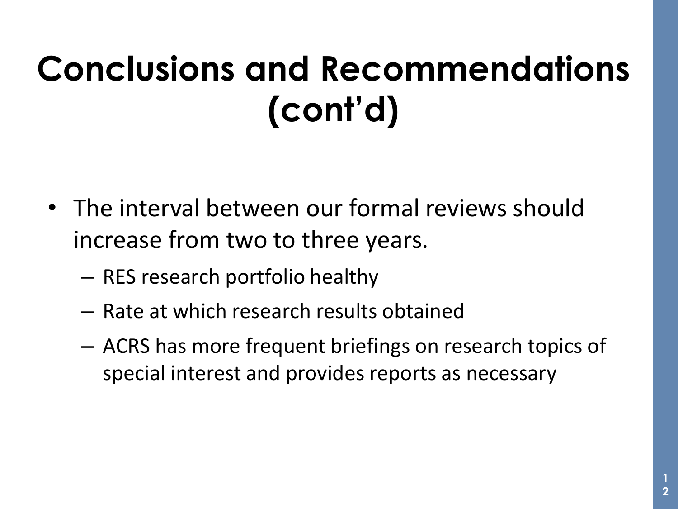## **Conclusions and Recommendations (cont'd)**

- The interval between our formal reviews should increase from two to three years.
	- RES research portfolio healthy
	- Rate at which research results obtained
	- ACRS has more frequent briefings on research topics of special interest and provides reports as necessary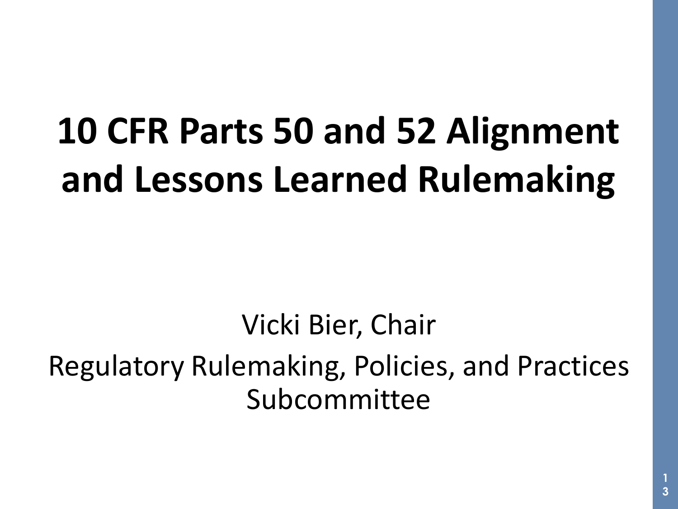# **10 CFR Parts 50 and 52 Alignment and Lessons Learned Rulemaking**

Vicki Bier, Chair Regulatory Rulemaking, Policies, and Practices Subcommittee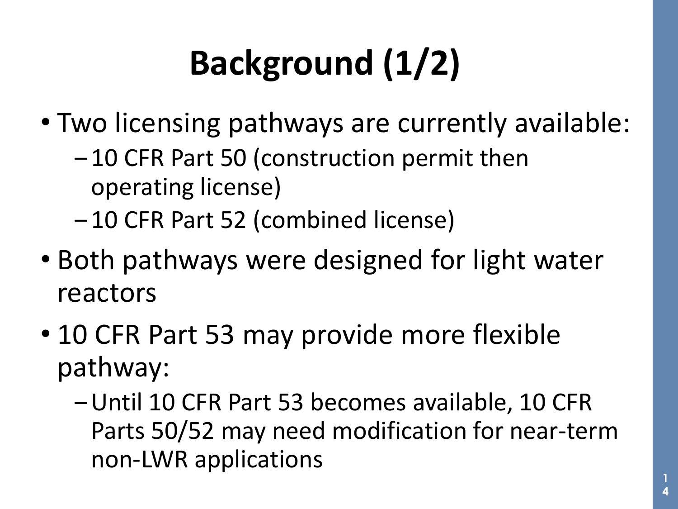# **Background (1/2)**

- Two licensing pathways are currently available:
	- 10 CFR Part 50 (construction permit then operating license)
	- ‒ 10 CFR Part 52 (combined license)
- Both pathways were designed for light water reactors
- 10 CFR Part 53 may provide more flexible pathway:
	- ‒Until 10 CFR Part 53 becomes available, 10 CFR Parts 50/52 may need modification for near-term non-LWR applications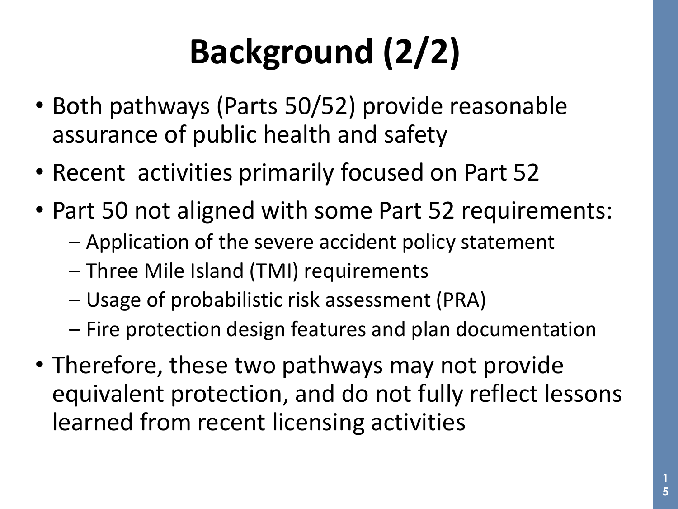# **Background (2/2)**

- Both pathways (Parts 50/52) provide reasonable assurance of public health and safety
- Recent activities primarily focused on Part 52
- Part 50 not aligned with some Part 52 requirements:
	- ‒ Application of the severe accident policy statement
	- ‒ Three Mile Island (TMI) requirements
	- ‒ Usage of probabilistic risk assessment (PRA)
	- ‒ Fire protection design features and plan documentation
- Therefore, these two pathways may not provide equivalent protection, and do not fully reflect lessons learned from recent licensing activities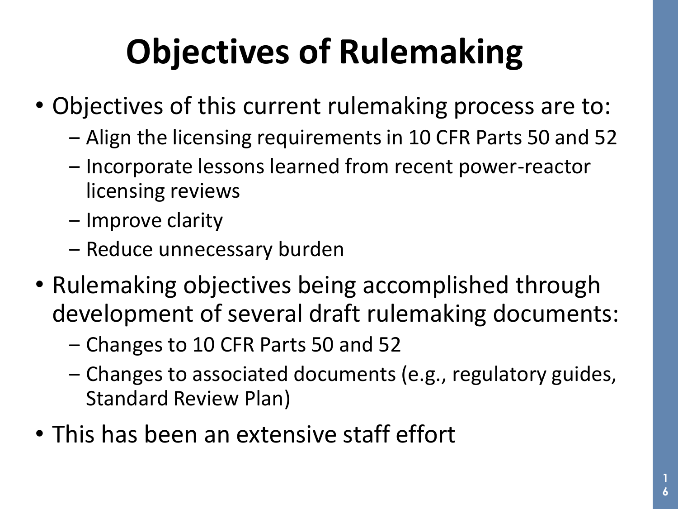## **Objectives of Rulemaking**

- Objectives of this current rulemaking process are to:
	- ‒ Align the licensing requirements in 10 CFR Parts 50 and 52
	- Incorporate lessons learned from recent power-reactor licensing reviews
	- Improve clarity
	- ‒ Reduce unnecessary burden
- Rulemaking objectives being accomplished through development of several draft rulemaking documents:
	- ‒ Changes to 10 CFR Parts 50 and 52
	- ‒ Changes to associated documents (e.g., regulatory guides, Standard Review Plan)
- This has been an extensive staff effort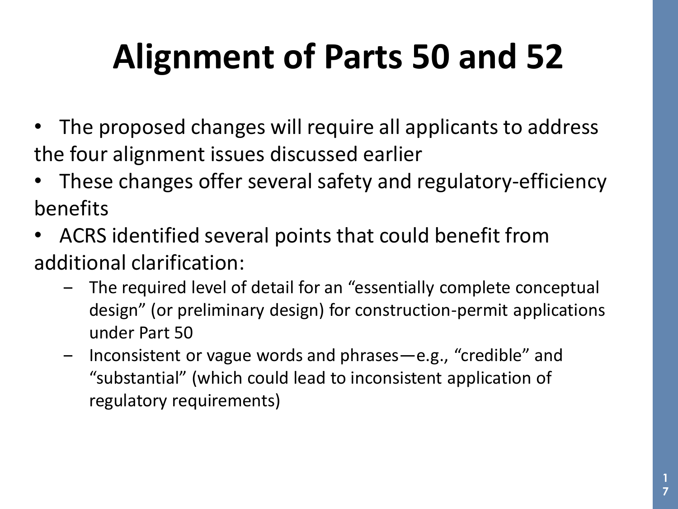## **Alignment of Parts 50 and 52**

- The proposed changes will require all applicants to address the four alignment issues discussed earlier
- These changes offer several safety and regulatory-efficiency benefits
- ACRS identified several points that could benefit from additional clarification:
	- ‒ The required level of detail for an "essentially complete conceptual design" (or preliminary design) for construction-permit applications under Part 50
	- ‒ Inconsistent or vague words and phrases—e.g., "credible" and "substantial" (which could lead to inconsistent application of regulatory requirements)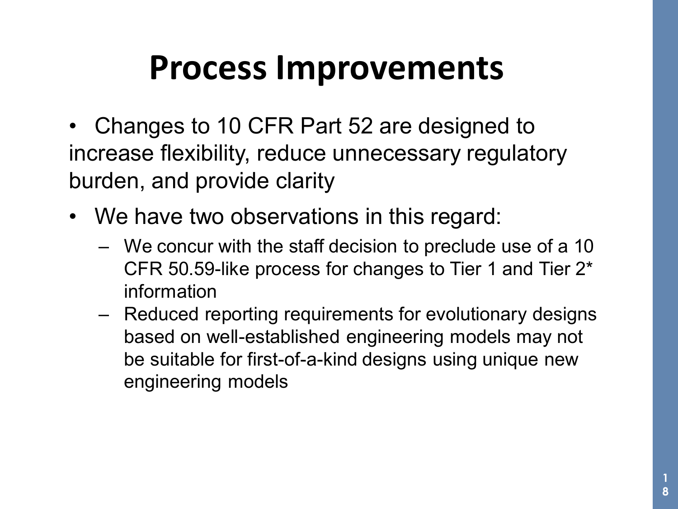## **Process Improvements**

- Changes to 10 CFR Part 52 are designed to increase flexibility, reduce unnecessary regulatory burden, and provide clarity
- We have two observations in this regard:
	- ‒ We concur with the staff decision to preclude use of a 10 CFR 50.59-like process for changes to Tier 1 and Tier 2\* information
	- ‒ Reduced reporting requirements for evolutionary designs based on well-established engineering models may not be suitable for first-of-a-kind designs using unique new engineering models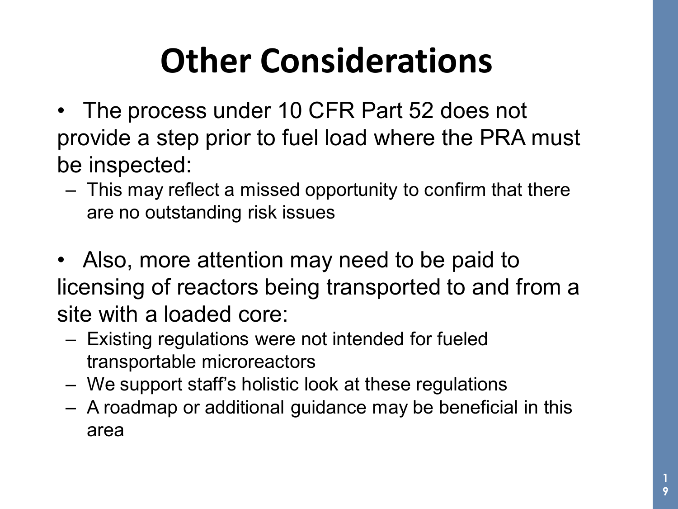## **Other Considerations**

- The process under 10 CFR Part 52 does not provide a step prior to fuel load where the PRA must be inspected:
	- This may reflect a missed opportunity to confirm that there are no outstanding risk issues
- Also, more attention may need to be paid to licensing of reactors being transported to and from a site with a loaded core:
	- Existing regulations were not intended for fueled transportable microreactors
	- We support staff's holistic look at these regulations
	- A roadmap or additional guidance may be beneficial in this area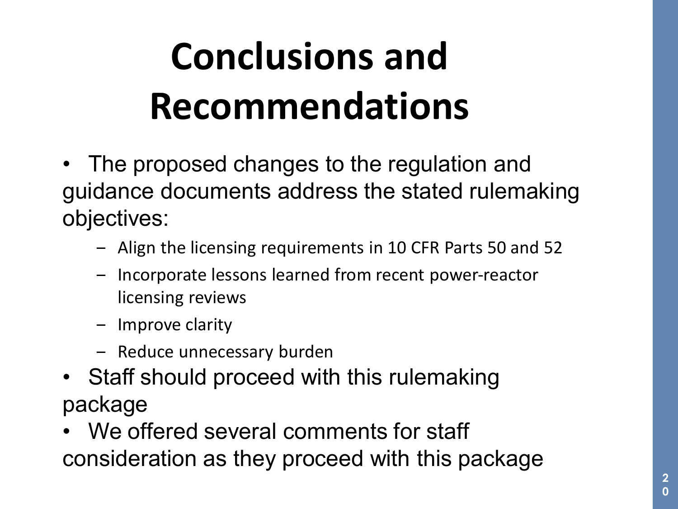# **Conclusions and Recommendations**

- The proposed changes to the regulation and guidance documents address the stated rulemaking objectives:
	- ‒ Align the licensing requirements in 10 CFR Parts 50 and 52
	- ‒ Incorporate lessons learned from recent power-reactor licensing reviews
	- ‒ Improve clarity
	- Reduce unnecessary burden
- Staff should proceed with this rulemaking package
- We offered several comments for staff consideration as they proceed with this package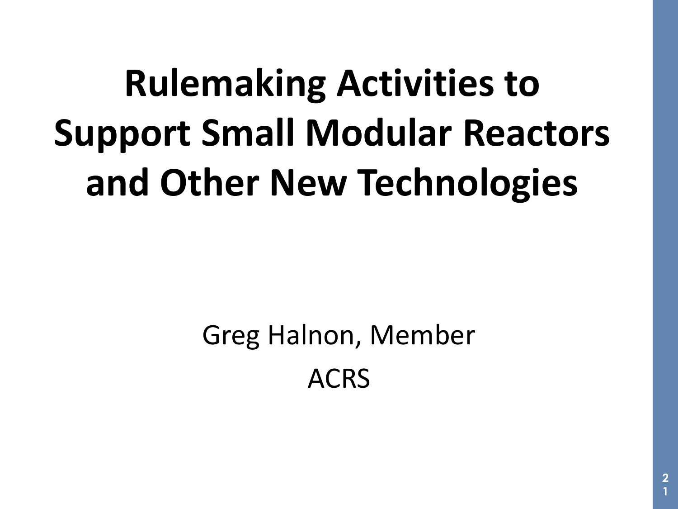# **Rulemaking Activities to Support Small Modular Reactors and Other New Technologies**

Greg Halnon, Member ACRS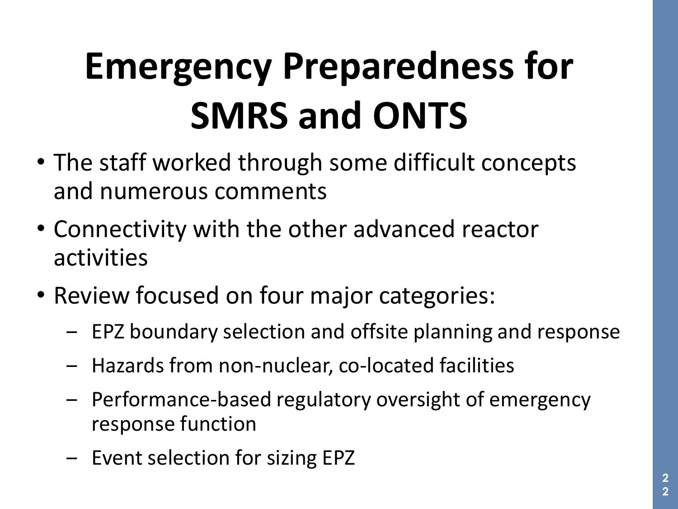# **Emergency Preparedness for SMRS and ONTS**

- The staff worked through some difficult concepts and numerous comments
- Connectivity with the other advanced reactor activities
- Review focused on four major categories:
	- ‒ EPZ boundary selection and offsite planning and response
	- ‒ Hazards from non-nuclear, co-located facilities
	- ‒ Performance-based regulatory oversight of emergency response function
	- Event selection for sizing EPZ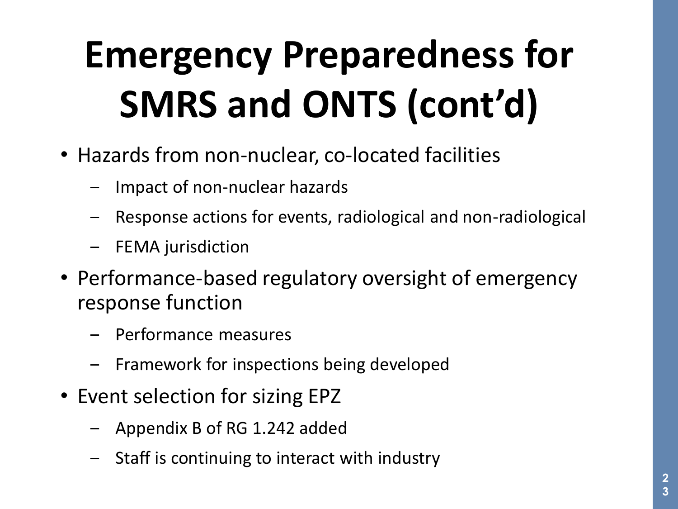# **Emergency Preparedness for SMRS and ONTS (cont'd)**

- Hazards from non-nuclear, co-located facilities
	- ‒ Impact of non-nuclear hazards
	- ‒ Response actions for events, radiological and non-radiological
	- ‒ FEMA jurisdiction
- Performance-based regulatory oversight of emergency response function
	- ‒ Performance measures
	- ‒ Framework for inspections being developed
- Event selection for sizing EPZ
	- ‒ Appendix B of RG 1.242 added
	- ‒ Staff is continuing to interact with industry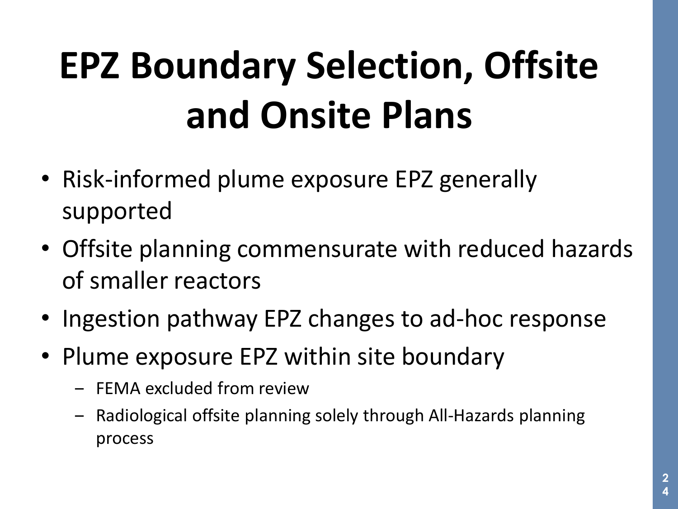# **EPZ Boundary Selection, Offsite and Onsite Plans**

- Risk-informed plume exposure EPZ generally supported
- Offsite planning commensurate with reduced hazards of smaller reactors
- Ingestion pathway EPZ changes to ad-hoc response
- Plume exposure EPZ within site boundary
	- ‒ FEMA excluded from review
	- ‒ Radiological offsite planning solely through All-Hazards planning process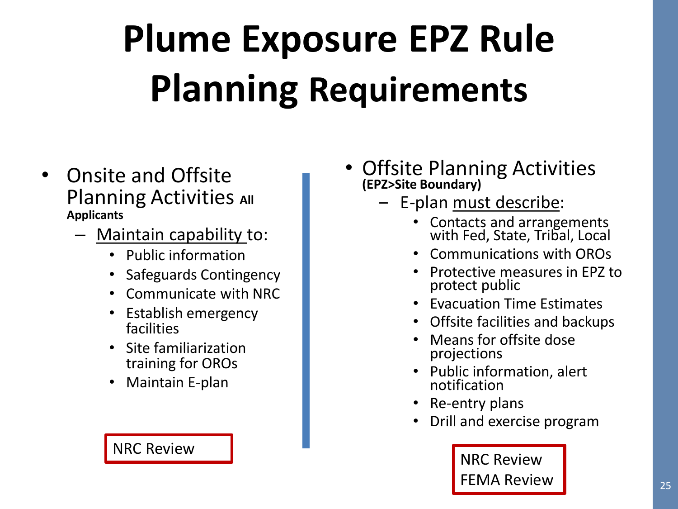# **Plume Exposure EPZ Rule Planning Requirements**

- Onsite and Offsite **Planning Activities All Applicants**
	- Maintain capability to:
		- Public information
		- Safeguards Contingency
		- Communicate with NRC
		- Establish emergency facilities
		- Site familiarization training for OROs
		- Maintain E-plan

#### • Offsite Planning Activities **(EPZ>Site Boundary)**

- E-plan must describe:
	- Contacts and arrangements with Fed, State, Tribal, Local
	- Communications with OROs
	- Protective measures in EPZ to protect public
	- Evacuation Time Estimates
	- Offsite facilities and backups
	- Means for offsite dose projections
	- Public information, alert notification
	- Re-entry plans
	- Drill and exercise program

NRC Review **NRC Review** FEMA Review **25** 

**25**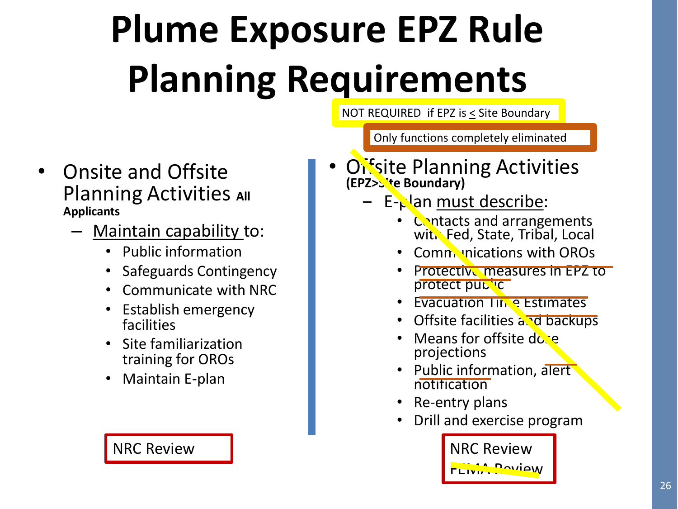# **Plume Exposure EPZ Rule Planning Requirements**

NOT REQUIRED if EPZ is < Site Boundary

Only functions completely eliminated

- Onsite and Offsite **Planning Activities All Applicants**
	- Maintain capability to:
		- Public information
		- Safeguards Contingency
		- Communicate with NRC
		- Establish emergency facilities
		- Site familiarization training for OROs
		- Maintain E-plan

#### • Offsite Planning Activities **(EPZ>Site Boundary)**

- $\overline{z}$  E-plan must describe:
	- Contacts and arrangements with Fed, State, Tribal, Local
	- **Communications with OROs**
	- **Protective measures in EPZ to** protect public
	- **Evacuation Time Estimates**
	- Offsite facilities and backups
	- Means for offsite dose projections
	- Public information, alert notification
	- Re-entry plans
	- Drill and exercise program

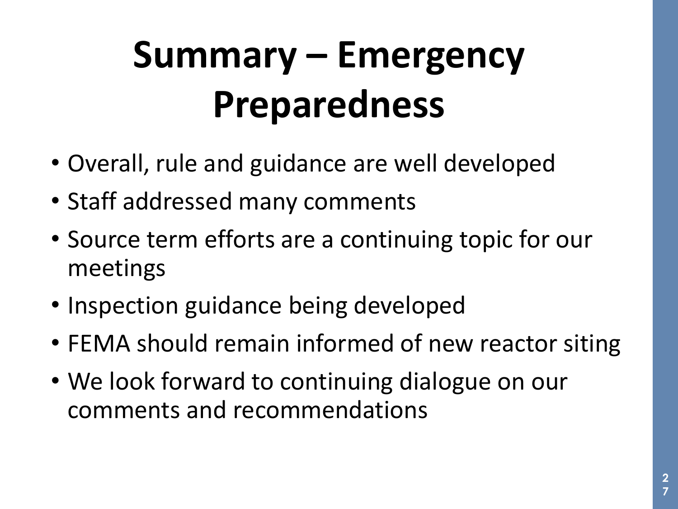# **Summary – Emergency Preparedness**

- Overall, rule and guidance are well developed
- Staff addressed many comments
- Source term efforts are a continuing topic for our meetings
- Inspection guidance being developed
- FEMA should remain informed of new reactor siting
- We look forward to continuing dialogue on our comments and recommendations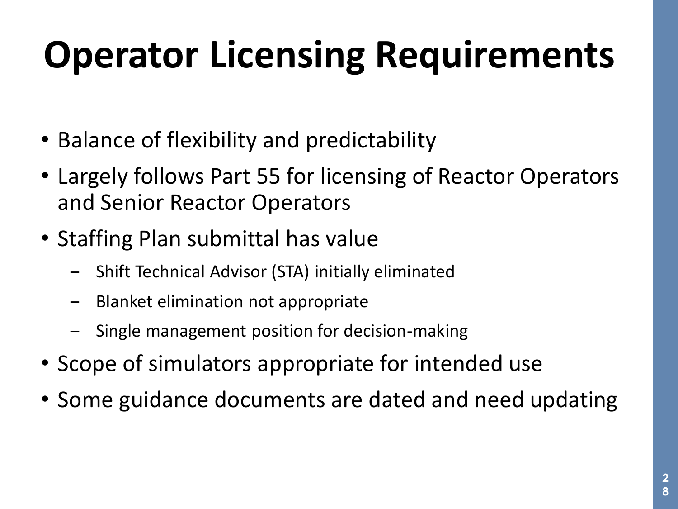# **Operator Licensing Requirements**

- Balance of flexibility and predictability
- Largely follows Part 55 for licensing of Reactor Operators and Senior Reactor Operators
- Staffing Plan submittal has value
	- ‒ Shift Technical Advisor (STA) initially eliminated
	- ‒ Blanket elimination not appropriate
	- ‒ Single management position for decision-making
- Scope of simulators appropriate for intended use
- Some guidance documents are dated and need updating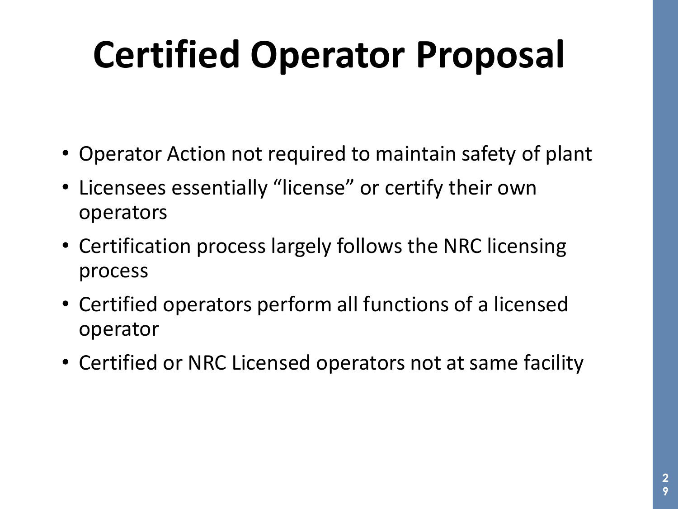# **Certified Operator Proposal**

- Operator Action not required to maintain safety of plant
- Licensees essentially "license" or certify their own operators
- Certification process largely follows the NRC licensing process
- Certified operators perform all functions of a licensed operator
- Certified or NRC Licensed operators not at same facility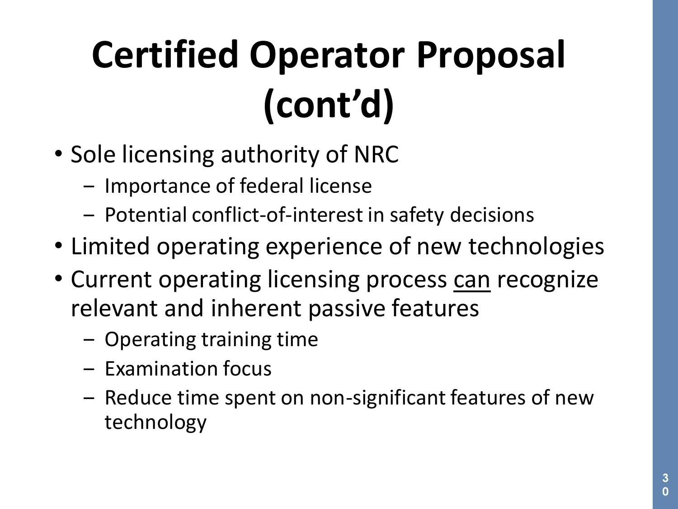# **Certified Operator Proposal (cont'd)**

- Sole licensing authority of NRC
	- ‒ Importance of federal license
	- ‒ Potential conflict-of-interest in safety decisions
- Limited operating experience of new technologies
- Current operating licensing process can recognize relevant and inherent passive features
	- Operating training time
	- ‒ Examination focus
	- Reduce time spent on non-significant features of new technology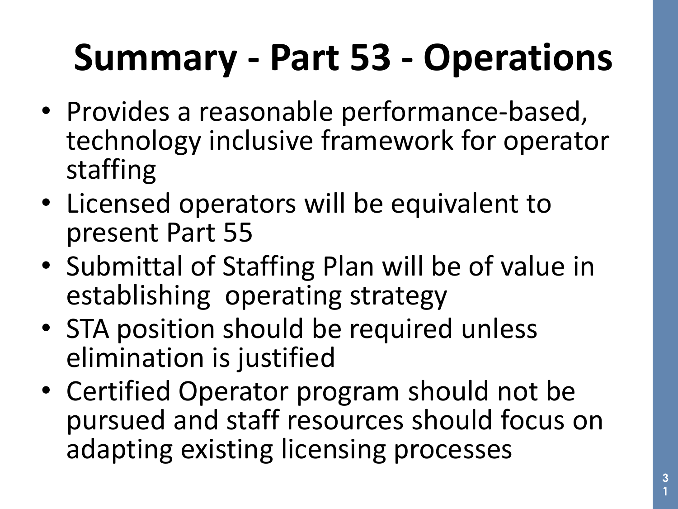## **Summary - Part 53 - Operations**

- Provides a reasonable performance-based, technology inclusive framework for operator staffing
- Licensed operators will be equivalent to present Part 55
- Submittal of Staffing Plan will be of value in establishing operating strategy
- STA position should be required unless elimination is justified
- Certified Operator program should not be pursued and staff resources should focus on adapting existing licensing processes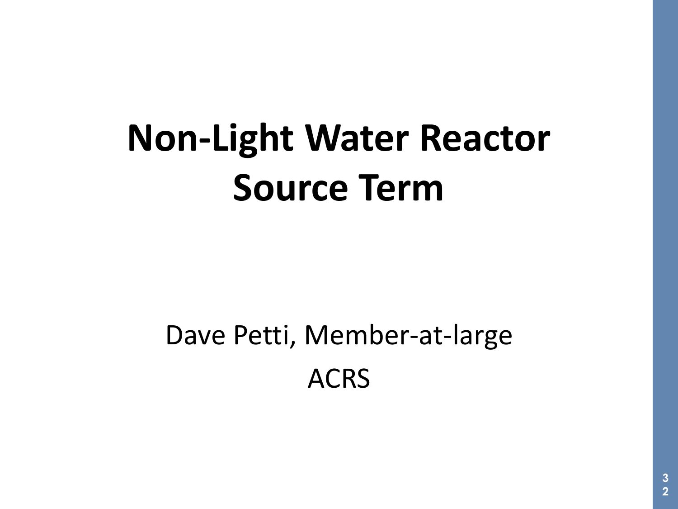# **Non-Light Water Reactor Source Term**

#### Dave Petti, Member-at-large ACRS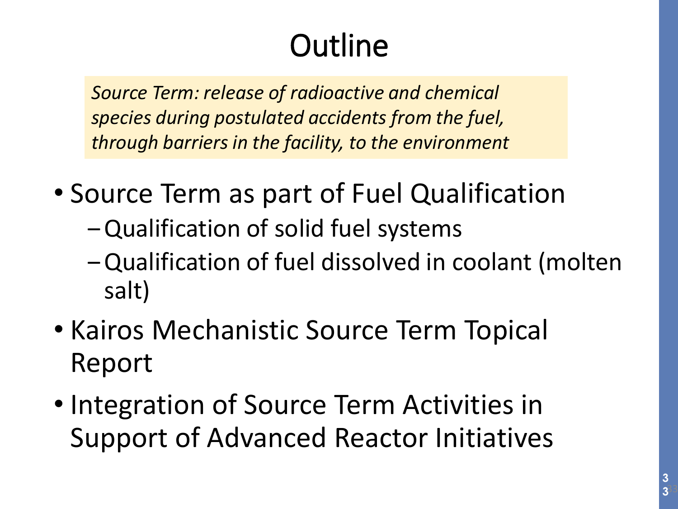#### **Outline**

*Source Term: release of radioactive and chemical species during postulated accidents from the fuel, through barriers in the facility, to the environment*

- Source Term as part of Fuel Qualification
	- Qualification of solid fuel systems
	- ‒Qualification of fuel dissolved in coolant (molten salt)
- Kairos Mechanistic Source Term Topical Report
- Integration of Source Term Activities in Support of Advanced Reactor Initiatives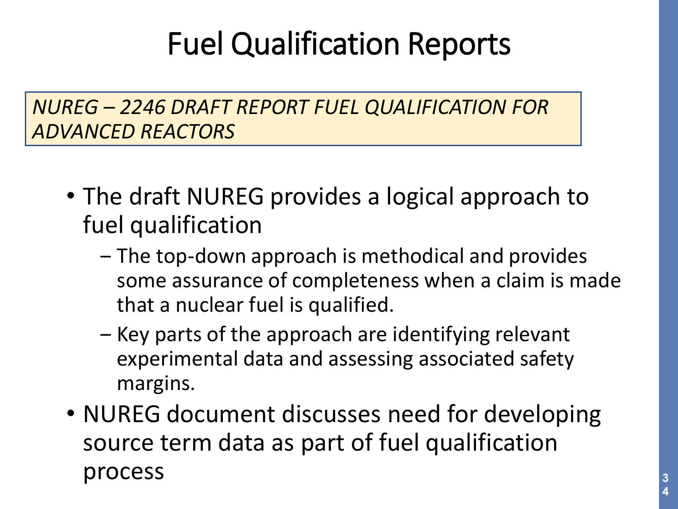#### Fuel Qualification Reports

*NUREG – 2246 DRAFT REPORT FUEL QUALIFICATION FOR ADVANCED REACTORS*

- The draft NUREG provides a logical approach to fuel qualification
	- ‒ The top-down approach is methodical and provides some assurance of completeness when a claim is made that a nuclear fuel is qualified.
	- ‒ Key parts of the approach are identifying relevant experimental data and assessing associated safety margins.
- NUREG document discusses need for developing source term data as part of fuel qualification process  $3^3$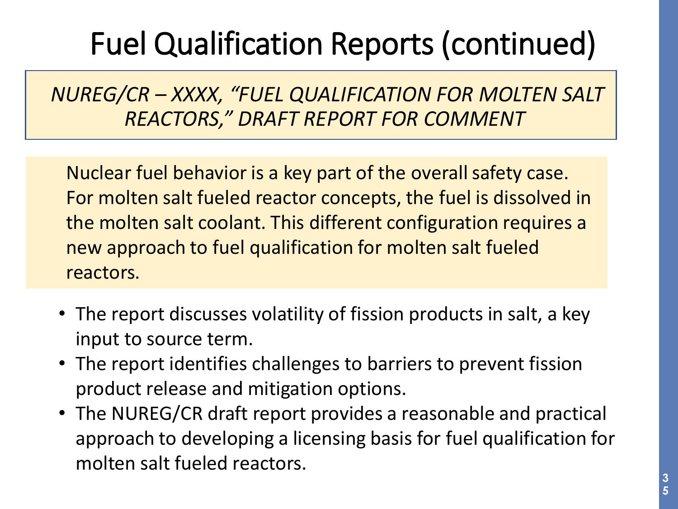#### Fuel Qualification Reports (continued)

*NUREG/CR – XXXX, "FUEL QUALIFICATION FOR MOLTEN SALT REACTORS," DRAFT REPORT FOR COMMENT*

Nuclear fuel behavior is a key part of the overall safety case. For molten salt fueled reactor concepts, the fuel is dissolved in the molten salt coolant. This different configuration requires a new approach to fuel qualification for molten salt fueled reactors.

- The report discusses volatility of fission products in salt, a key input to source term.
- The report identifies challenges to barriers to prevent fission product release and mitigation options.
- The NUREG/CR draft report provides a reasonable and practical approach to developing a licensing basis for fuel qualification for molten salt fueled reactors.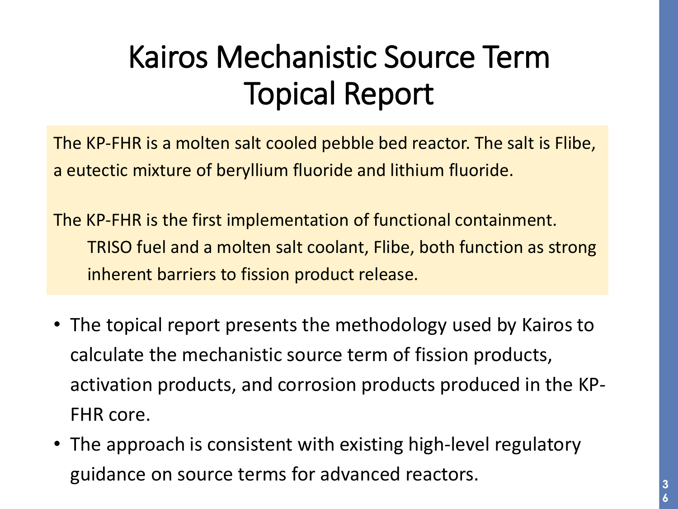#### Kairos Mechanistic Source Term Topical Report

The KP-FHR is a molten salt cooled pebble bed reactor. The salt is Flibe, a eutectic mixture of beryllium fluoride and lithium fluoride.

The KP-FHR is the first implementation of functional containment. TRISO fuel and a molten salt coolant, Flibe, both function as strong inherent barriers to fission product release.

- The topical report presents the methodology used by Kairos to calculate the mechanistic source term of fission products, activation products, and corrosion products produced in the KP-FHR core.
- The approach is consistent with existing high-level regulatory guidance on source terms for advanced reactors.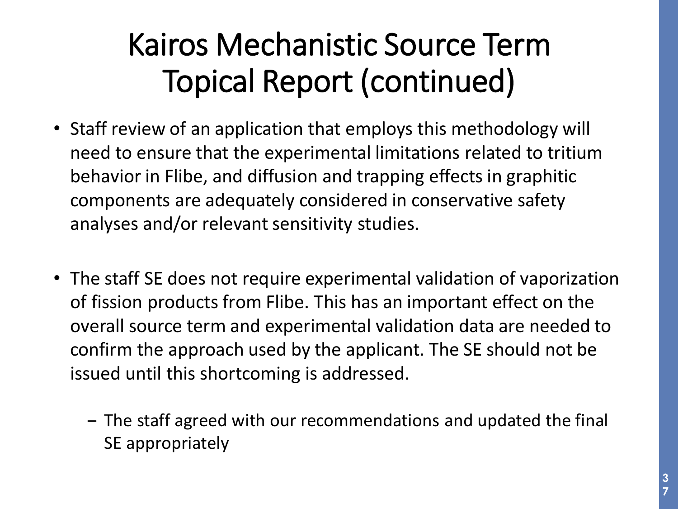#### Kairos Mechanistic Source Term Topical Report (continued)

- Staff review of an application that employs this methodology will need to ensure that the experimental limitations related to tritium behavior in Flibe, and diffusion and trapping effects in graphitic components are adequately considered in conservative safety analyses and/or relevant sensitivity studies.
- The staff SE does not require experimental validation of vaporization of fission products from Flibe. This has an important effect on the overall source term and experimental validation data are needed to confirm the approach used by the applicant. The SE should not be issued until this shortcoming is addressed.
	- ‒ The staff agreed with our recommendations and updated the final SE appropriately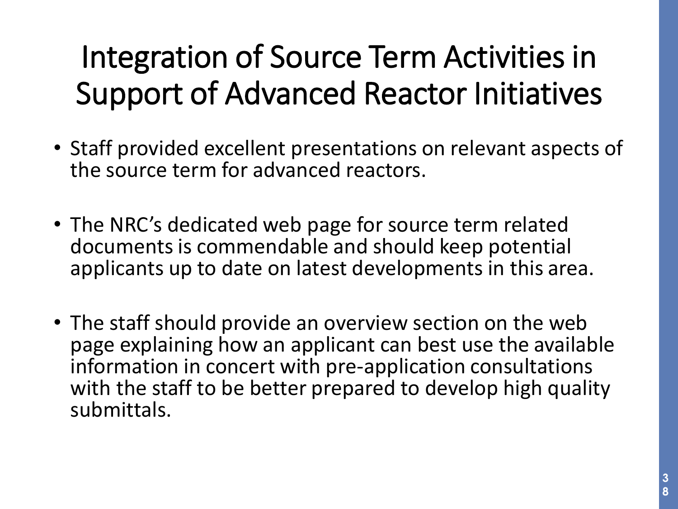#### Integration of Source Term Activities in Support of Advanced Reactor Initiatives

- Staff provided excellent presentations on relevant aspects of the source term for advanced reactors.
- The NRC's dedicated web page for source term related documents is commendable and should keep potential applicants up to date on latest developments in this area.
- The staff should provide an overview section on the web page explaining how an applicant can best use the available information in concert with pre-application consultations with the staff to be better prepared to develop high quality submittals.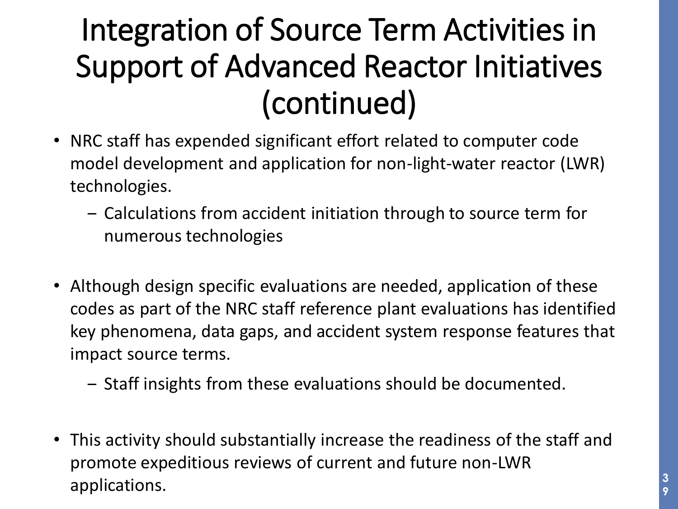#### Integration of Source Term Activities in Support of Advanced Reactor Initiatives (continued)

- NRC staff has expended significant effort related to computer code model development and application for non-light-water reactor (LWR) technologies.
	- ‒ Calculations from accident initiation through to source term for numerous technologies
- Although design specific evaluations are needed, application of these codes as part of the NRC staff reference plant evaluations has identified key phenomena, data gaps, and accident system response features that impact source terms.
	- ‒ Staff insights from these evaluations should be documented.
- This activity should substantially increase the readiness of the staff and promote expeditious reviews of current and future non-LWR applications. **<sup>3</sup>**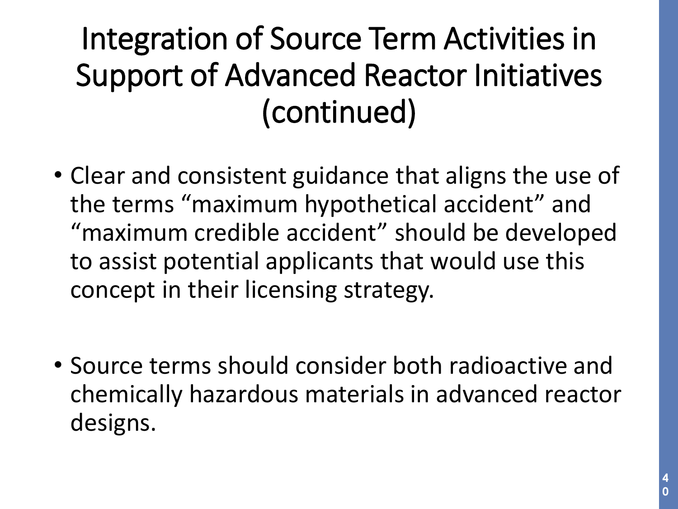#### Integration of Source Term Activities in Support of Advanced Reactor Initiatives (continued)

- Clear and consistent guidance that aligns the use of the terms "maximum hypothetical accident" and "maximum credible accident" should be developed to assist potential applicants that would use this concept in their licensing strategy.
- Source terms should consider both radioactive and chemically hazardous materials in advanced reactor designs.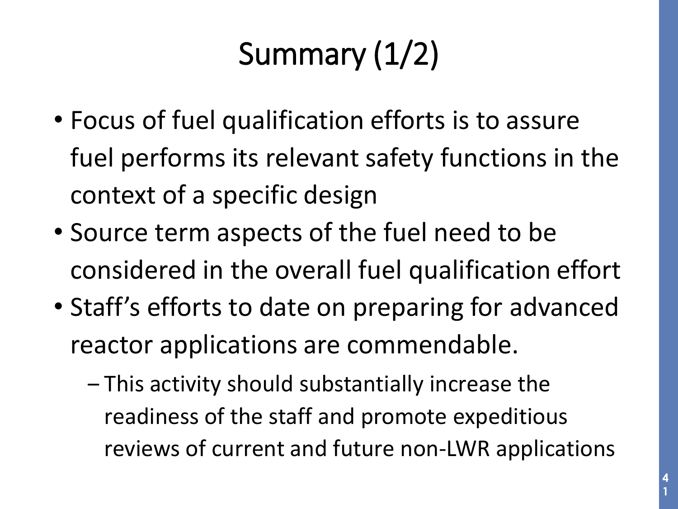## Summary (1/2)

- Focus of fuel qualification efforts is to assure fuel performs its relevant safety functions in the context of a specific design
- Source term aspects of the fuel need to be considered in the overall fuel qualification effort
- Staff's efforts to date on preparing for advanced reactor applications are commendable.
	- ‒ This activity should substantially increase the readiness of the staff and promote expeditious reviews of current and future non-LWR applications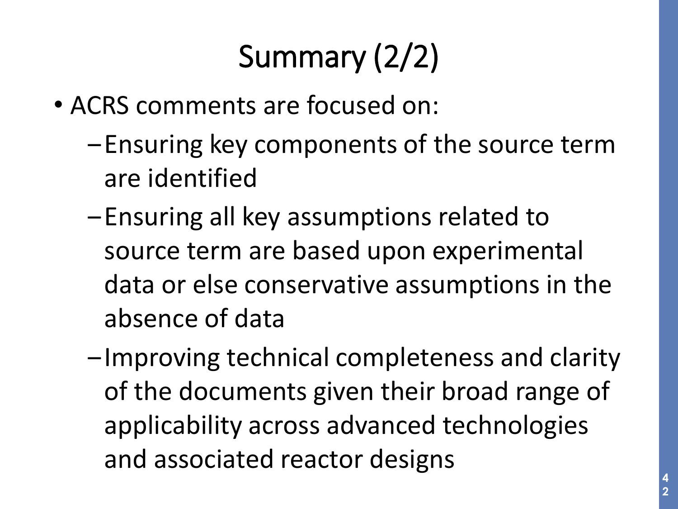## Summary (2/2)

- ACRS comments are focused on:
	- ‒Ensuring key components of the source term are identified
	- -Ensuring all key assumptions related to source term are based upon experimental data or else conservative assumptions in the absence of data
	- $-$ Improving technical completeness and clarity of the documents given their broad range of applicability across advanced technologies and associated reactor designs